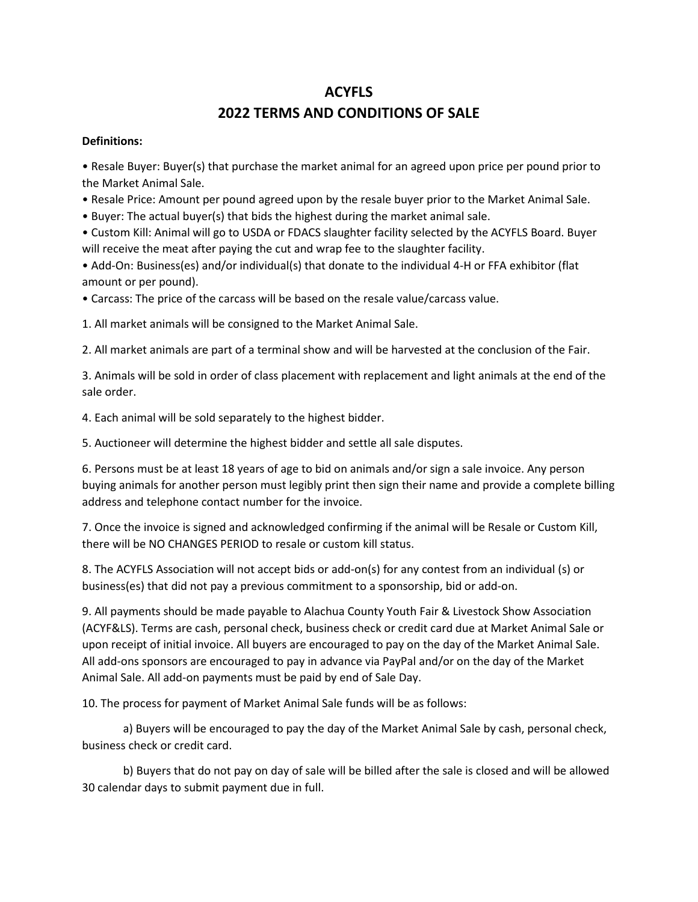## **ACYFLS 2022 TERMS AND CONDITIONS OF SALE**

## **Definitions:**

• Resale Buyer: Buyer(s) that purchase the market animal for an agreed upon price per pound prior to the Market Animal Sale.

- Resale Price: Amount per pound agreed upon by the resale buyer prior to the Market Animal Sale.
- Buyer: The actual buyer(s) that bids the highest during the market animal sale.

• Custom Kill: Animal will go to USDA or FDACS slaughter facility selected by the ACYFLS Board. Buyer will receive the meat after paying the cut and wrap fee to the slaughter facility.

• Add-On: Business(es) and/or individual(s) that donate to the individual 4-H or FFA exhibitor (flat amount or per pound).

• Carcass: The price of the carcass will be based on the resale value/carcass value.

1. All market animals will be consigned to the Market Animal Sale.

2. All market animals are part of a terminal show and will be harvested at the conclusion of the Fair.

3. Animals will be sold in order of class placement with replacement and light animals at the end of the sale order.

4. Each animal will be sold separately to the highest bidder.

5. Auctioneer will determine the highest bidder and settle all sale disputes.

6. Persons must be at least 18 years of age to bid on animals and/or sign a sale invoice. Any person buying animals for another person must legibly print then sign their name and provide a complete billing address and telephone contact number for the invoice.

7. Once the invoice is signed and acknowledged confirming if the animal will be Resale or Custom Kill, there will be NO CHANGES PERIOD to resale or custom kill status.

8. The ACYFLS Association will not accept bids or add-on(s) for any contest from an individual (s) or business(es) that did not pay a previous commitment to a sponsorship, bid or add-on.

9. All payments should be made payable to Alachua County Youth Fair & Livestock Show Association (ACYF&LS). Terms are cash, personal check, business check or credit card due at Market Animal Sale or upon receipt of initial invoice. All buyers are encouraged to pay on the day of the Market Animal Sale. All add-ons sponsors are encouraged to pay in advance via PayPal and/or on the day of the Market Animal Sale. All add-on payments must be paid by end of Sale Day.

10. The process for payment of Market Animal Sale funds will be as follows:

a) Buyers will be encouraged to pay the day of the Market Animal Sale by cash, personal check, business check or credit card.

b) Buyers that do not pay on day of sale will be billed after the sale is closed and will be allowed 30 calendar days to submit payment due in full.